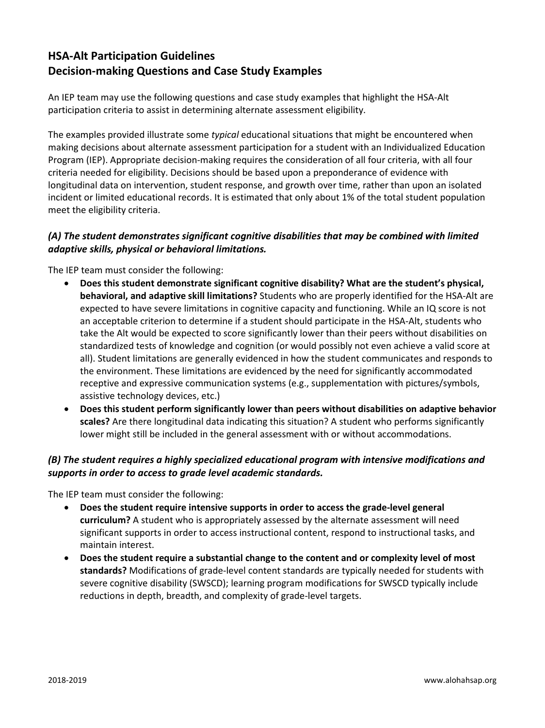# **HSA-Alt Participation Guidelines Decision-making Questions and Case Study Examples**

An IEP team may use the following questions and case study examples that highlight the HSA-Alt participation criteria to assist in determining alternate assessment eligibility.

The examples provided illustrate some *typical* educational situations that might be encountered when making decisions about alternate assessment participation for a student with an Individualized Education Program (IEP). Appropriate decision-making requires the consideration of all four criteria, with all four criteria needed for eligibility. Decisions should be based upon a preponderance of evidence with longitudinal data on intervention, student response, and growth over time, rather than upon an isolated incident or limited educational records. It is estimated that only about 1% of the total student population meet the eligibility criteria.

#### *(A) The student demonstrates significant cognitive disabilities that may be combined with limited adaptive skills, physical or behavioral limitations.*

The IEP team must consider the following:

- **Does this student demonstrate significant cognitive disability? What are the student's physical, behavioral, and adaptive skill limitations?** Students who are properly identified for the HSA-Alt are expected to have severe limitations in cognitive capacity and functioning. While an IQ score is not an acceptable criterion to determine if a student should participate in the HSA-Alt, students who take the Alt would be expected to score significantly lower than their peers without disabilities on standardized tests of knowledge and cognition (or would possibly not even achieve a valid score at all). Student limitations are generally evidenced in how the student communicates and responds to the environment. These limitations are evidenced by the need for significantly accommodated receptive and expressive communication systems (e.g., supplementation with pictures/symbols, assistive technology devices, etc.)
- **Does this student perform significantly lower than peers without disabilities on adaptive behavior scales?** Are there longitudinal data indicating this situation? A student who performs significantly lower might still be included in the general assessment with or without accommodations.

### *(B) The student requires a highly specialized educational program with intensive modifications and supports in order to access to grade level academic standards.*

The IEP team must consider the following:

- **Does the student require intensive supports in order to access the grade-level general curriculum?** A student who is appropriately assessed by the alternate assessment will need significant supports in order to access instructional content, respond to instructional tasks, and maintain interest.
- **Does the student require a substantial change to the content and or complexity level of most standards?** Modifications of grade-level content standards are typically needed for students with severe cognitive disability (SWSCD); learning program modifications for SWSCD typically include reductions in depth, breadth, and complexity of grade-level targets.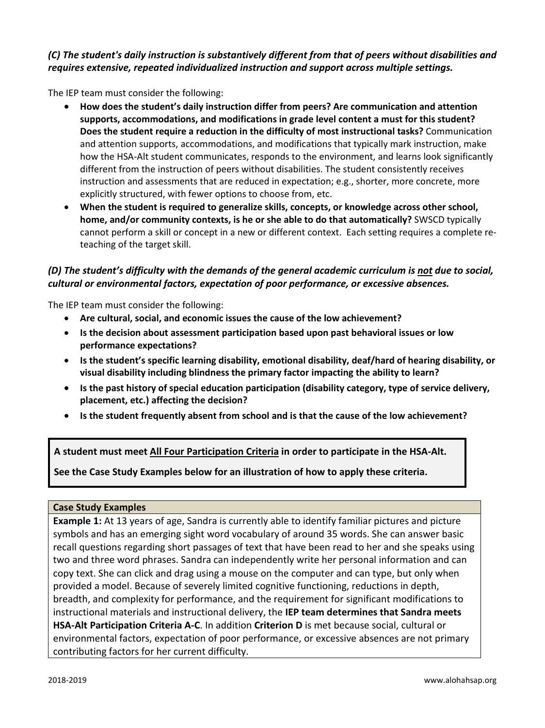## *(C) The student's daily instruction is substantively different from that of peers without disabilities and requires extensive, repeated individualized instruction and support across multiple settings.*

The IEP team must consider the following:

- **How does the student's daily instruction differ from peers? Are communication and attention supports, accommodations, and modifications in grade level content a must for this student? Does the student require a reduction in the difficulty of most instructional tasks?** Communication and attention supports, accommodations, and modifications that typically mark instruction, make how the HSA-Alt student communicates, responds to the environment, and learns look significantly different from the instruction of peers without disabilities. The student consistently receives instruction and assessments that are reduced in expectation; e.g., shorter, more concrete, more explicitly structured, with fewer options to choose from, etc.
- **When the student is required to generalize skills, concepts, or knowledge across other school, home, and/or community contexts, is he or she able to do that automatically?** SWSCD typically cannot perform a skill or concept in a new or different context. Each setting requires a complete reteaching of the target skill.

# *(D) The student's difficulty with the demands of the general academic curriculum is not due to social, cultural or environmental factors, expectation of poor performance, or excessive absences.*

The IEP team must consider the following:

- **Are cultural, social, and economic issues the cause of the low achievement?**
- **Is the decision about assessment participation based upon past behavioral issues or low performance expectations?**
- **Is the student's specific learning disability, emotional disability, deaf/hard of hearing disability, or visual disability including blindness the primary factor impacting the ability to learn?**
- **Is the past history of special education participation (disability category, type of service delivery, placement, etc.) affecting the decision?**
- **Is the student frequently absent from school and is that the cause of the low achievement?**

**A student must meet All Four Participation Criteria in order to participate in the HSA-Alt.**

**See the Case Study Examples below for an illustration of how to apply these criteria.**

#### **Case Study Examples**

**Example 1:** At 13 years of age, Sandra is currently able to identify familiar pictures and picture symbols and has an emerging sight word vocabulary of around 35 words. She can answer basic recall questions regarding short passages of text that have been read to her and she speaks using two and three word phrases. Sandra can independently write her personal information and can copy text. She can click and drag using a mouse on the computer and can type, but only when provided a model. Because of severely limited cognitive functioning, reductions in depth, breadth, and complexity for performance, and the requirement for significant modifications to instructional materials and instructional delivery, the **IEP team determines that Sandra meets HSA-Alt Participation Criteria A-C**. In addition **Criterion D** is met because social, cultural or environmental factors, expectation of poor performance, or excessive absences are not primary contributing factors for her current difficulty.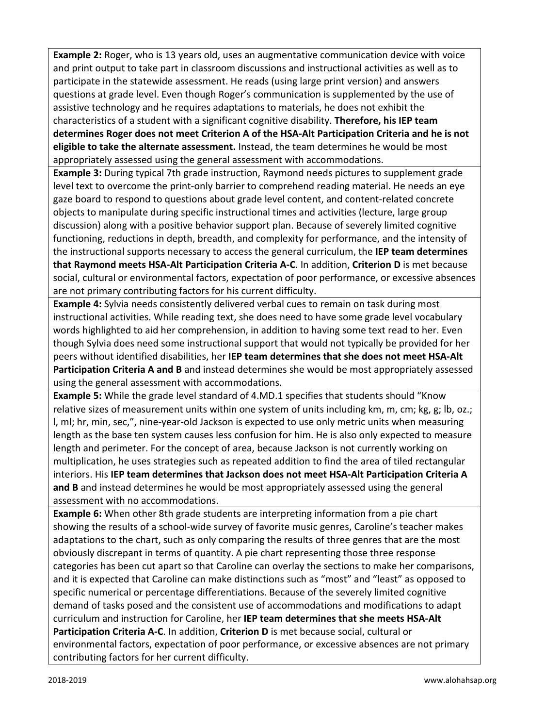**Example 2:** Roger, who is 13 years old, uses an augmentative communication device with voice and print output to take part in classroom discussions and instructional activities as well as to participate in the statewide assessment. He reads (using large print version) and answers questions at grade level. Even though Roger's communication is supplemented by the use of assistive technology and he requires adaptations to materials, he does not exhibit the characteristics of a student with a significant cognitive disability. **Therefore, his IEP team determines Roger does not meet Criterion A of the HSA-Alt Participation Criteria and he is not eligible to take the alternate assessment.** Instead, the team determines he would be most appropriately assessed using the general assessment with accommodations.

**Example 3:** During typical 7th grade instruction, Raymond needs pictures to supplement grade level text to overcome the print-only barrier to comprehend reading material. He needs an eye gaze board to respond to questions about grade level content, and content-related concrete objects to manipulate during specific instructional times and activities (lecture, large group discussion) along with a positive behavior support plan. Because of severely limited cognitive functioning, reductions in depth, breadth, and complexity for performance, and the intensity of the instructional supports necessary to access the general curriculum, the **IEP team determines that Raymond meets HSA-Alt Participation Criteria A-C**. In addition, **Criterion D** is met because social, cultural or environmental factors, expectation of poor performance, or excessive absences are not primary contributing factors for his current difficulty.

**Example 4:** Sylvia needs consistently delivered verbal cues to remain on task during most instructional activities. While reading text, she does need to have some grade level vocabulary words highlighted to aid her comprehension, in addition to having some text read to her. Even though Sylvia does need some instructional support that would not typically be provided for her peers without identified disabilities, her **IEP team determines that she does not meet HSA-Alt**  Participation Criteria A and B and instead determines she would be most appropriately assessed using the general assessment with accommodations.

**Example 5:** While the grade level standard of 4.MD.1 specifies that students should "Know relative sizes of measurement units within one system of units including km, m, cm; kg, g; lb, oz.; l, ml; hr, min, sec,", nine-year-old Jackson is expected to use only metric units when measuring length as the base ten system causes less confusion for him. He is also only expected to measure length and perimeter. For the concept of area, because Jackson is not currently working on multiplication, he uses strategies such as repeated addition to find the area of tiled rectangular interiors. His **IEP team determines that Jackson does not meet HSA-Alt Participation Criteria A and B** and instead determines he would be most appropriately assessed using the general assessment with no accommodations.

**Example 6:** When other 8th grade students are interpreting information from a pie chart showing the results of a school-wide survey of favorite music genres, Caroline's teacher makes adaptations to the chart, such as only comparing the results of three genres that are the most obviously discrepant in terms of quantity. A pie chart representing those three response categories has been cut apart so that Caroline can overlay the sections to make her comparisons, and it is expected that Caroline can make distinctions such as "most" and "least" as opposed to specific numerical or percentage differentiations. Because of the severely limited cognitive demand of tasks posed and the consistent use of accommodations and modifications to adapt curriculum and instruction for Caroline, her **IEP team determines that she meets HSA-Alt Participation Criteria A-C**. In addition, **Criterion D** is met because social, cultural or environmental factors, expectation of poor performance, or excessive absences are not primary contributing factors for her current difficulty.